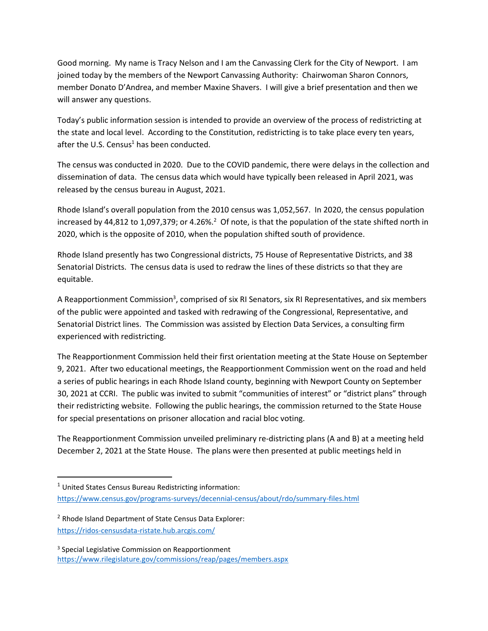Good morning. My name is Tracy Nelson and I am the Canvassing Clerk for the City of Newport. I am joined today by the members of the Newport Canvassing Authority: Chairwoman Sharon Connors, member Donato D'Andrea, and member Maxine Shavers. I will give a brief presentation and then we will answer any questions.

Today's public information session is intended to provide an overview of the process of redistricting at the state and local level. According to the Constitution, redistricting is to take place every ten years, after the U.S. Census<sup>1</sup> has been conducted.

The census was conducted in 2020. Due to the COVID pandemic, there were delays in the collection and dissemination of data. The census data which would have typically been released in April 2021, was released by the census bureau in August, 2021.

Rhode Island's overall population from the 2010 census was 1,052,567. In 2020, the census population increased by 44,812 to 1,097,379; or 4.26%.<sup>2</sup> Of note, is that the population of the state shifted north in 2020, which is the opposite of 2010, when the population shifted south of providence.

Rhode Island presently has two Congressional districts, 75 House of Representative Districts, and 38 Senatorial Districts. The census data is used to redraw the lines of these districts so that they are equitable.

A Reapportionment Commission<sup>3</sup>, comprised of six RI Senators, six RI Representatives, and six members of the public were appointed and tasked with redrawing of the Congressional, Representative, and Senatorial District lines. The Commission was assisted by Election Data Services, a consulting firm experienced with redistricting.

The Reapportionment Commission held their first orientation meeting at the State House on September 9, 2021. After two educational meetings, the Reapportionment Commission went on the road and held a series of public hearings in each Rhode Island county, beginning with Newport County on September 30, 2021 at CCRI. The public was invited to submit "communities of interest" or "district plans" through their redistricting website. Following the public hearings, the commission returned to the State House for special presentations on prisoner allocation and racial bloc voting.

The Reapportionment Commission unveiled preliminary re-districting plans (A and B) at a meeting held December 2, 2021 at the State House. The plans were then presented at public meetings held in

 $\overline{\phantom{a}}$ 

 $1$  United States Census Bureau Redistricting information: <https://www.census.gov/programs-surveys/decennial-census/about/rdo/summary-files.html>

<sup>&</sup>lt;sup>2</sup> Rhode Island Department of State Census Data Explorer: <https://ridos-censusdata-ristate.hub.arcgis.com/>

<sup>&</sup>lt;sup>3</sup> Special Legislative Commission on Reapportionment <https://www.rilegislature.gov/commissions/reap/pages/members.aspx>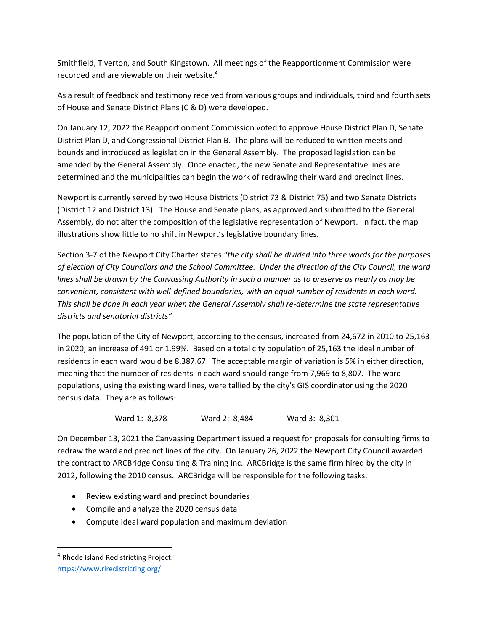Smithfield, Tiverton, and South Kingstown. All meetings of the Reapportionment Commission were recorded and are viewable on their website.<sup>4</sup>

As a result of feedback and testimony received from various groups and individuals, third and fourth sets of House and Senate District Plans (C & D) were developed.

On January 12, 2022 the Reapportionment Commission voted to approve House District Plan D, Senate District Plan D, and Congressional District Plan B. The plans will be reduced to written meets and bounds and introduced as legislation in the General Assembly. The proposed legislation can be amended by the General Assembly. Once enacted, the new Senate and Representative lines are determined and the municipalities can begin the work of redrawing their ward and precinct lines.

Newport is currently served by two House Districts (District 73 & District 75) and two Senate Districts (District 12 and District 13). The House and Senate plans, as approved and submitted to the General Assembly, do not alter the composition of the legislative representation of Newport. In fact, the map illustrations show little to no shift in Newport's legislative boundary lines.

Section 3-7 of the Newport City Charter states *"the city shall be divided into three wards for the purposes of election of City Councilors and the School Committee. Under the direction of the City Council, the ward lines shall be drawn by the Canvassing Authority in such a manner as to preserve as nearly as may be convenient, consistent with well-defined boundaries, with an equal number of residents in each ward. This shall be done in each year when the General Assembly shall re-determine the state representative districts and senatorial districts"*

The population of the City of Newport, according to the census, increased from 24,672 in 2010 to 25,163 in 2020; an increase of 491 or 1.99%. Based on a total city population of 25,163 the ideal number of residents in each ward would be 8,387.67. The acceptable margin of variation is 5% in either direction, meaning that the number of residents in each ward should range from 7,969 to 8,807. The ward populations, using the existing ward lines, were tallied by the city's GIS coordinator using the 2020 census data. They are as follows:

Ward 1: 8,378 Ward 2: 8,484 Ward 3: 8,301

On December 13, 2021 the Canvassing Department issued a request for proposals for consulting firms to redraw the ward and precinct lines of the city. On January 26, 2022 the Newport City Council awarded the contract to ARCBridge Consulting & Training Inc. ARCBridge is the same firm hired by the city in 2012, following the 2010 census. ARCBridge will be responsible for the following tasks:

- Review existing ward and precinct boundaries
- Compile and analyze the 2020 census data
- Compute ideal ward population and maximum deviation

 $\overline{a}$ 

<sup>4</sup> Rhode Island Redistricting Project: <https://www.riredistricting.org/>